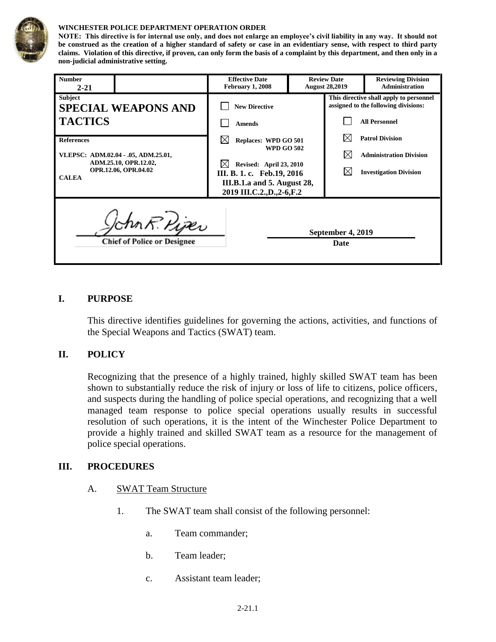

#### **WINCHESTER POLICE DEPARTMENT OPERATION ORDER**

**NOTE: This directive is for internal use only, and does not enlarge an employee's civil liability in any way. It should not be construed as the creation of a higher standard of safety or case in an evidentiary sense, with respect to third party claims. Violation of this directive, if proven, can only form the basis of a complaint by this department, and then only in a non-judicial administrative setting.**

| <b>Number</b><br>$2 - 21$                                                                                                 |                                                     | <b>Effective Date</b><br><b>February 1, 2008</b>                                                                                                                                           |  | <b>Review Date</b><br><b>August 28,2019</b>                                                             | <b>Reviewing Division</b><br><b>Administration</b>                                        |
|---------------------------------------------------------------------------------------------------------------------------|-----------------------------------------------------|--------------------------------------------------------------------------------------------------------------------------------------------------------------------------------------------|--|---------------------------------------------------------------------------------------------------------|-------------------------------------------------------------------------------------------|
| <b>Subject</b><br><b>SPECIAL WEAPONS AND</b><br><b>TACTICS</b>                                                            |                                                     | <b>New Directive</b><br><b>Amends</b>                                                                                                                                                      |  | This directive shall apply to personnel<br>assigned to the following divisions:<br><b>All Personnel</b> |                                                                                           |
| <b>References</b><br>VLEPSC: ADM.02.04 - .05, ADM.25.01,<br>ADM.25.10, OPR.12.02,<br>OPR.12.06, OPR.04.02<br><b>CALEA</b> |                                                     | IХ<br><b>Replaces: WPD GO 501</b><br><b>WPD GO 502</b><br>M<br><b>Revised: April 23, 2010</b><br>III. B. 1. c. Feb. 19, 2016<br>III.B.1.a and 5. August 28,<br>2019 III.C.2., D., 2-6, F.2 |  | IX<br>⋉<br>⋉                                                                                            | <b>Patrol Division</b><br><b>Administration Division</b><br><b>Investigation Division</b> |
|                                                                                                                           | lchn R. Pijer<br><b>Chief of Police or Designee</b> |                                                                                                                                                                                            |  | September 4, 2019<br>Date                                                                               |                                                                                           |

#### **I. PURPOSE**

This directive identifies guidelines for governing the actions, activities, and functions of the Special Weapons and Tactics (SWAT) team.

### **II. POLICY**

Recognizing that the presence of a highly trained, highly skilled SWAT team has been shown to substantially reduce the risk of injury or loss of life to citizens, police officers, and suspects during the handling of police special operations, and recognizing that a well managed team response to police special operations usually results in successful resolution of such operations, it is the intent of the Winchester Police Department to provide a highly trained and skilled SWAT team as a resource for the management of police special operations.

#### **III. PROCEDURES**

- A. SWAT Team Structure
	- 1. The SWAT team shall consist of the following personnel:
		- a. Team commander;
		- b. Team leader;
		- c. Assistant team leader;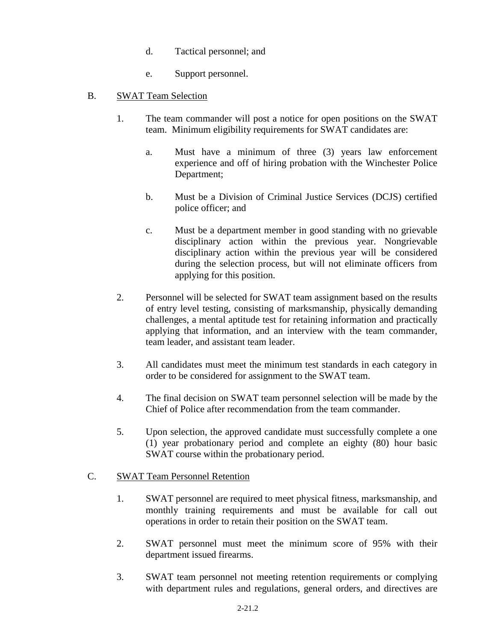- d. Tactical personnel; and
- e. Support personnel.
- B. SWAT Team Selection
	- 1. The team commander will post a notice for open positions on the SWAT team. Minimum eligibility requirements for SWAT candidates are:
		- a. Must have a minimum of three (3) years law enforcement experience and off of hiring probation with the Winchester Police Department;
		- b. Must be a Division of Criminal Justice Services (DCJS) certified police officer; and
		- c. Must be a department member in good standing with no grievable disciplinary action within the previous year. Nongrievable disciplinary action within the previous year will be considered during the selection process, but will not eliminate officers from applying for this position.
	- 2. Personnel will be selected for SWAT team assignment based on the results of entry level testing, consisting of marksmanship, physically demanding challenges, a mental aptitude test for retaining information and practically applying that information, and an interview with the team commander, team leader, and assistant team leader.
	- 3. All candidates must meet the minimum test standards in each category in order to be considered for assignment to the SWAT team.
	- 4. The final decision on SWAT team personnel selection will be made by the Chief of Police after recommendation from the team commander.
	- 5. Upon selection, the approved candidate must successfully complete a one (1) year probationary period and complete an eighty (80) hour basic SWAT course within the probationary period.

# C. SWAT Team Personnel Retention

- 1. SWAT personnel are required to meet physical fitness, marksmanship, and monthly training requirements and must be available for call out operations in order to retain their position on the SWAT team.
- 2. SWAT personnel must meet the minimum score of 95% with their department issued firearms.
- 3. SWAT team personnel not meeting retention requirements or complying with department rules and regulations, general orders, and directives are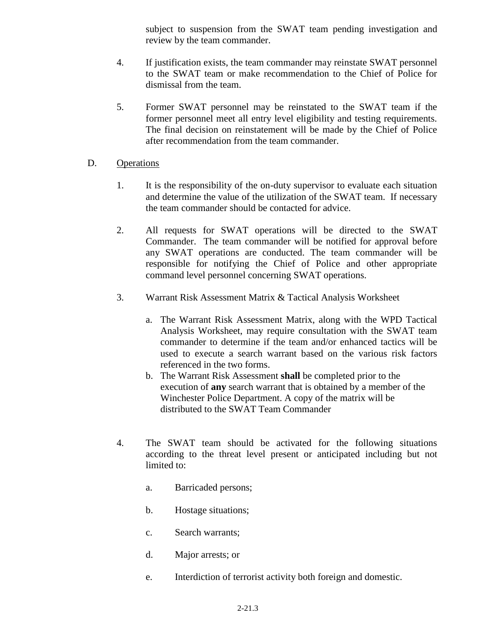subject to suspension from the SWAT team pending investigation and review by the team commander.

- 4. If justification exists, the team commander may reinstate SWAT personnel to the SWAT team or make recommendation to the Chief of Police for dismissal from the team.
- 5. Former SWAT personnel may be reinstated to the SWAT team if the former personnel meet all entry level eligibility and testing requirements. The final decision on reinstatement will be made by the Chief of Police after recommendation from the team commander.

## D. Operations

- 1. It is the responsibility of the on-duty supervisor to evaluate each situation and determine the value of the utilization of the SWAT team. If necessary the team commander should be contacted for advice.
- 2. All requests for SWAT operations will be directed to the SWAT Commander. The team commander will be notified for approval before any SWAT operations are conducted. The team commander will be responsible for notifying the Chief of Police and other appropriate command level personnel concerning SWAT operations.
- 3. Warrant Risk Assessment Matrix & Tactical Analysis Worksheet
	- a. The Warrant Risk Assessment Matrix, along with the WPD Tactical Analysis Worksheet, may require consultation with the SWAT team commander to determine if the team and/or enhanced tactics will be used to execute a search warrant based on the various risk factors referenced in the two forms.
	- b. The Warrant Risk Assessment **shall** be completed prior to the execution of **any** search warrant that is obtained by a member of the Winchester Police Department. A copy of the matrix will be distributed to the SWAT Team Commander
- 4. The SWAT team should be activated for the following situations according to the threat level present or anticipated including but not limited to:
	- a. Barricaded persons;
	- b. Hostage situations;
	- c. Search warrants;
	- d. Major arrests; or
	- e. Interdiction of terrorist activity both foreign and domestic.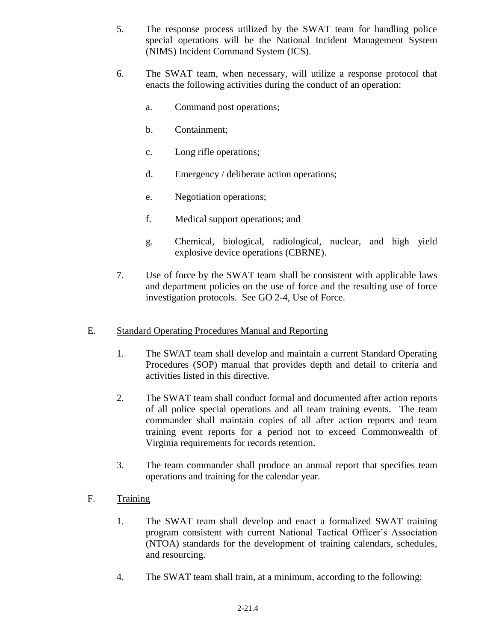- 5. The response process utilized by the SWAT team for handling police special operations will be the National Incident Management System (NIMS) Incident Command System (ICS).
- 6. The SWAT team, when necessary, will utilize a response protocol that enacts the following activities during the conduct of an operation:
	- a. Command post operations;
	- b. Containment;
	- c. Long rifle operations;
	- d. Emergency / deliberate action operations;
	- e. Negotiation operations;
	- f. Medical support operations; and
	- g. Chemical, biological, radiological, nuclear, and high yield explosive device operations (CBRNE).
- 7. Use of force by the SWAT team shall be consistent with applicable laws and department policies on the use of force and the resulting use of force investigation protocols. See GO 2-4, Use of Force.

### E. Standard Operating Procedures Manual and Reporting

- 1. The SWAT team shall develop and maintain a current Standard Operating Procedures (SOP) manual that provides depth and detail to criteria and activities listed in this directive.
- 2. The SWAT team shall conduct formal and documented after action reports of all police special operations and all team training events. The team commander shall maintain copies of all after action reports and team training event reports for a period not to exceed Commonwealth of Virginia requirements for records retention.
- 3. The team commander shall produce an annual report that specifies team operations and training for the calendar year.
- F. Training
	- 1. The SWAT team shall develop and enact a formalized SWAT training program consistent with current National Tactical Officer's Association (NTOA) standards for the development of training calendars, schedules, and resourcing.
	- 4. The SWAT team shall train, at a minimum, according to the following: